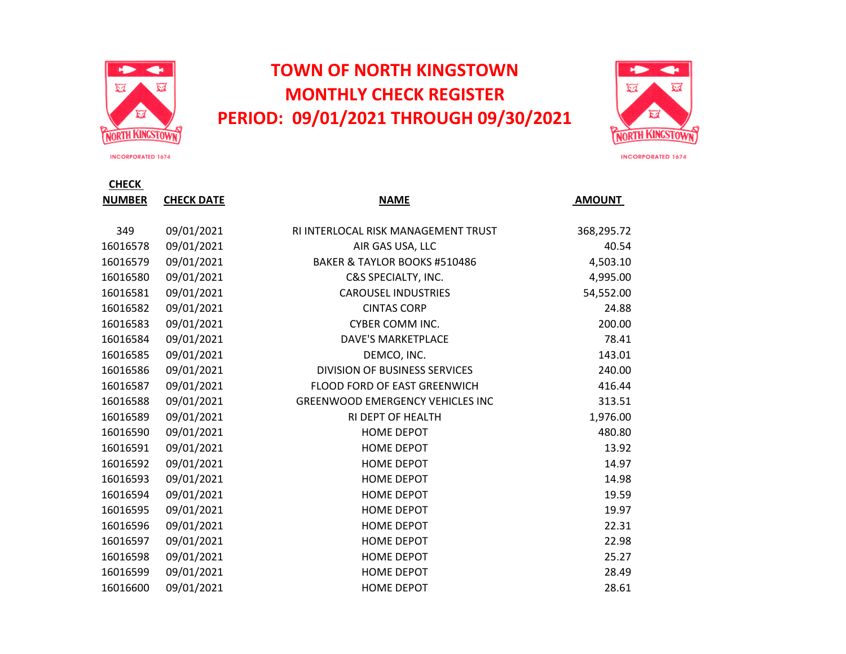

## **TOWN OF NORTH KINGSTOWN MONTHLY CHECK REGISTER PERIOD: 09/01/2021 THROUGH 09/30/2021**



**INCORPORATED 1674** 

**CHECK** 

| <b>NUMBER</b> | <b>CHECK DATE</b> | <b>NAME</b>                             | <b>AMOUNT</b> |
|---------------|-------------------|-----------------------------------------|---------------|
|               |                   |                                         |               |
| 349           | 09/01/2021        | RI INTERLOCAL RISK MANAGEMENT TRUST     | 368,295.72    |
| 16016578      | 09/01/2021        | AIR GAS USA, LLC                        | 40.54         |
| 16016579      | 09/01/2021        | BAKER & TAYLOR BOOKS #510486            | 4,503.10      |
| 16016580      | 09/01/2021        | C&S SPECIALTY, INC.                     | 4,995.00      |
| 16016581      | 09/01/2021        | <b>CAROUSEL INDUSTRIES</b>              | 54,552.00     |
| 16016582      | 09/01/2021        | <b>CINTAS CORP</b>                      | 24.88         |
| 16016583      | 09/01/2021        | <b>CYBER COMM INC.</b>                  | 200.00        |
| 16016584      | 09/01/2021        | <b>DAVE'S MARKETPLACE</b>               | 78.41         |
| 16016585      | 09/01/2021        | DEMCO, INC.                             | 143.01        |
| 16016586      | 09/01/2021        | <b>DIVISION OF BUSINESS SERVICES</b>    | 240.00        |
| 16016587      | 09/01/2021        | FLOOD FORD OF EAST GREENWICH            | 416.44        |
| 16016588      | 09/01/2021        | <b>GREENWOOD EMERGENCY VEHICLES INC</b> | 313.51        |
| 16016589      | 09/01/2021        | RI DEPT OF HEALTH                       | 1,976.00      |
| 16016590      | 09/01/2021        | <b>HOME DEPOT</b>                       | 480.80        |
| 16016591      | 09/01/2021        | <b>HOME DEPOT</b>                       | 13.92         |
| 16016592      | 09/01/2021        | HOME DEPOT                              | 14.97         |
| 16016593      | 09/01/2021        | <b>HOME DEPOT</b>                       | 14.98         |
| 16016594      | 09/01/2021        | <b>HOME DEPOT</b>                       | 19.59         |
| 16016595      | 09/01/2021        | <b>HOME DEPOT</b>                       | 19.97         |
| 16016596      | 09/01/2021        | <b>HOME DEPOT</b>                       | 22.31         |
| 16016597      | 09/01/2021        | <b>HOME DEPOT</b>                       | 22.98         |
| 16016598      | 09/01/2021        | <b>HOME DEPOT</b>                       | 25.27         |
| 16016599      | 09/01/2021        | <b>HOME DEPOT</b>                       | 28.49         |
| 16016600      | 09/01/2021        | <b>HOME DEPOT</b>                       | 28.61         |

INCORPORATED 1674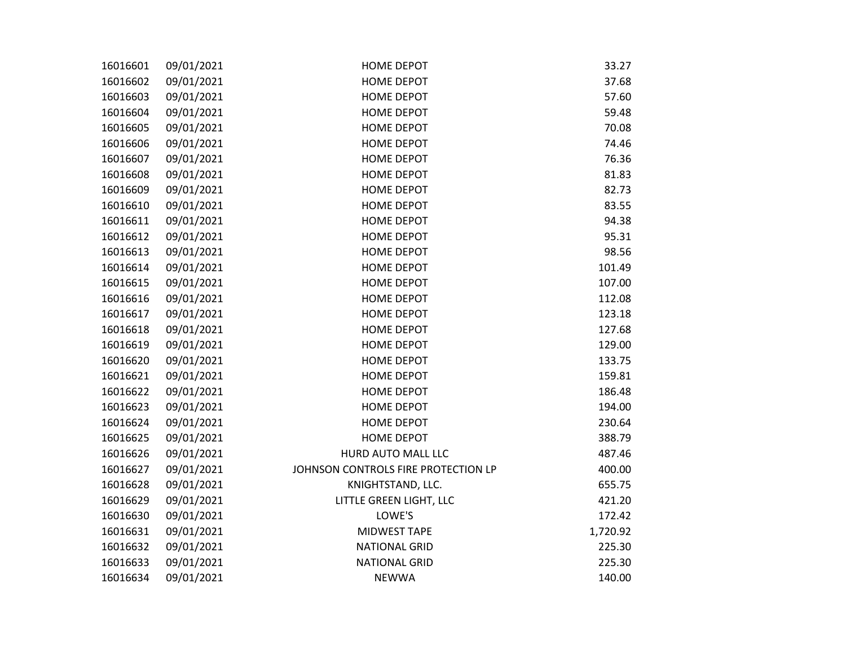| 16016601 | 09/01/2021 | <b>HOME DEPOT</b>                   | 33.27    |
|----------|------------|-------------------------------------|----------|
| 16016602 | 09/01/2021 | <b>HOME DEPOT</b>                   | 37.68    |
| 16016603 | 09/01/2021 | <b>HOME DEPOT</b>                   | 57.60    |
| 16016604 | 09/01/2021 | <b>HOME DEPOT</b>                   | 59.48    |
| 16016605 | 09/01/2021 | <b>HOME DEPOT</b>                   | 70.08    |
| 16016606 | 09/01/2021 | <b>HOME DEPOT</b>                   | 74.46    |
| 16016607 | 09/01/2021 | <b>HOME DEPOT</b>                   | 76.36    |
| 16016608 | 09/01/2021 | <b>HOME DEPOT</b>                   | 81.83    |
| 16016609 | 09/01/2021 | <b>HOME DEPOT</b>                   | 82.73    |
| 16016610 | 09/01/2021 | <b>HOME DEPOT</b>                   | 83.55    |
| 16016611 | 09/01/2021 | <b>HOME DEPOT</b>                   | 94.38    |
| 16016612 | 09/01/2021 | <b>HOME DEPOT</b>                   | 95.31    |
| 16016613 | 09/01/2021 | <b>HOME DEPOT</b>                   | 98.56    |
| 16016614 | 09/01/2021 | <b>HOME DEPOT</b>                   | 101.49   |
| 16016615 | 09/01/2021 | <b>HOME DEPOT</b>                   | 107.00   |
| 16016616 | 09/01/2021 | <b>HOME DEPOT</b>                   | 112.08   |
| 16016617 | 09/01/2021 | <b>HOME DEPOT</b>                   | 123.18   |
| 16016618 | 09/01/2021 | <b>HOME DEPOT</b>                   | 127.68   |
| 16016619 | 09/01/2021 | <b>HOME DEPOT</b>                   | 129.00   |
| 16016620 | 09/01/2021 | <b>HOME DEPOT</b>                   | 133.75   |
| 16016621 | 09/01/2021 | <b>HOME DEPOT</b>                   | 159.81   |
| 16016622 | 09/01/2021 | <b>HOME DEPOT</b>                   | 186.48   |
| 16016623 | 09/01/2021 | <b>HOME DEPOT</b>                   | 194.00   |
| 16016624 | 09/01/2021 | <b>HOME DEPOT</b>                   | 230.64   |
| 16016625 | 09/01/2021 | <b>HOME DEPOT</b>                   | 388.79   |
| 16016626 | 09/01/2021 | HURD AUTO MALL LLC                  | 487.46   |
| 16016627 | 09/01/2021 | JOHNSON CONTROLS FIRE PROTECTION LP | 400.00   |
| 16016628 | 09/01/2021 | KNIGHTSTAND, LLC.                   | 655.75   |
| 16016629 | 09/01/2021 | LITTLE GREEN LIGHT, LLC             | 421.20   |
| 16016630 | 09/01/2021 | LOWE'S                              | 172.42   |
| 16016631 | 09/01/2021 | <b>MIDWEST TAPE</b>                 | 1,720.92 |
| 16016632 | 09/01/2021 | <b>NATIONAL GRID</b>                | 225.30   |
| 16016633 | 09/01/2021 | <b>NATIONAL GRID</b>                | 225.30   |
| 16016634 | 09/01/2021 | <b>NEWWA</b>                        | 140.00   |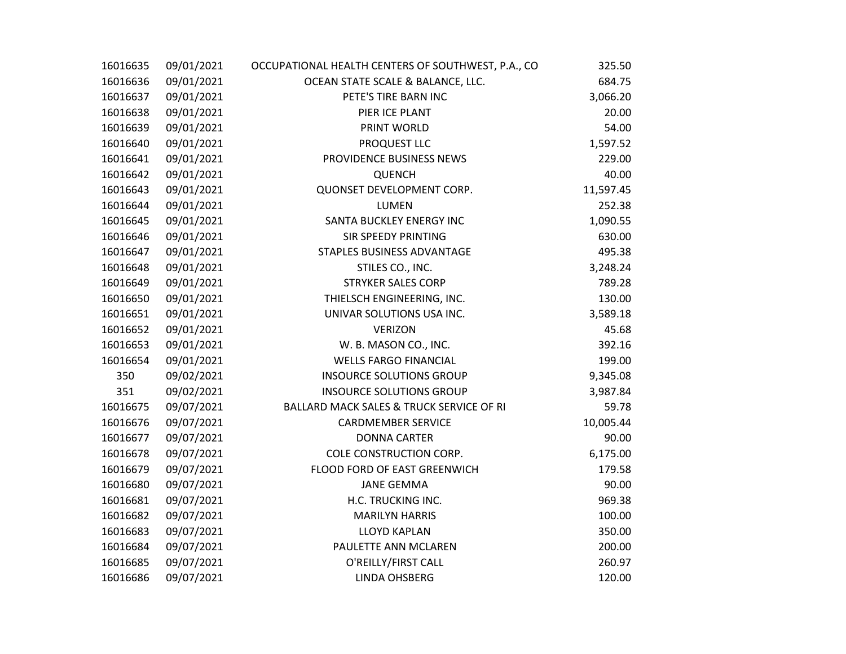| 16016635 | 09/01/2021 | OCCUPATIONAL HEALTH CENTERS OF SOUTHWEST, P.A., CO  | 325.50    |
|----------|------------|-----------------------------------------------------|-----------|
| 16016636 | 09/01/2021 | OCEAN STATE SCALE & BALANCE, LLC.                   | 684.75    |
| 16016637 | 09/01/2021 | PETE'S TIRE BARN INC                                | 3,066.20  |
| 16016638 | 09/01/2021 | PIER ICE PLANT                                      | 20.00     |
| 16016639 | 09/01/2021 | PRINT WORLD                                         | 54.00     |
| 16016640 | 09/01/2021 | PROQUEST LLC                                        | 1,597.52  |
| 16016641 | 09/01/2021 | PROVIDENCE BUSINESS NEWS                            | 229.00    |
| 16016642 | 09/01/2021 | <b>QUENCH</b>                                       | 40.00     |
| 16016643 | 09/01/2021 | QUONSET DEVELOPMENT CORP.                           | 11,597.45 |
| 16016644 | 09/01/2021 | <b>LUMEN</b>                                        | 252.38    |
| 16016645 | 09/01/2021 | SANTA BUCKLEY ENERGY INC                            | 1,090.55  |
| 16016646 | 09/01/2021 | SIR SPEEDY PRINTING                                 | 630.00    |
| 16016647 | 09/01/2021 | STAPLES BUSINESS ADVANTAGE                          | 495.38    |
| 16016648 | 09/01/2021 | STILES CO., INC.                                    | 3,248.24  |
| 16016649 | 09/01/2021 | <b>STRYKER SALES CORP</b>                           | 789.28    |
| 16016650 | 09/01/2021 | THIELSCH ENGINEERING, INC.                          | 130.00    |
| 16016651 | 09/01/2021 | UNIVAR SOLUTIONS USA INC.                           | 3,589.18  |
| 16016652 | 09/01/2021 | <b>VERIZON</b>                                      | 45.68     |
| 16016653 | 09/01/2021 | W. B. MASON CO., INC.                               | 392.16    |
| 16016654 | 09/01/2021 | <b>WELLS FARGO FINANCIAL</b>                        | 199.00    |
| 350      | 09/02/2021 | <b>INSOURCE SOLUTIONS GROUP</b>                     | 9,345.08  |
| 351      | 09/02/2021 | <b>INSOURCE SOLUTIONS GROUP</b>                     | 3,987.84  |
| 16016675 | 09/07/2021 | <b>BALLARD MACK SALES &amp; TRUCK SERVICE OF RI</b> | 59.78     |
| 16016676 | 09/07/2021 | <b>CARDMEMBER SERVICE</b>                           | 10,005.44 |
| 16016677 | 09/07/2021 | <b>DONNA CARTER</b>                                 | 90.00     |
| 16016678 | 09/07/2021 | COLE CONSTRUCTION CORP.                             | 6,175.00  |
| 16016679 | 09/07/2021 | FLOOD FORD OF EAST GREENWICH                        | 179.58    |
| 16016680 | 09/07/2021 | <b>JANE GEMMA</b>                                   | 90.00     |
| 16016681 | 09/07/2021 | H.C. TRUCKING INC.                                  | 969.38    |
| 16016682 | 09/07/2021 | <b>MARILYN HARRIS</b>                               | 100.00    |
| 16016683 | 09/07/2021 | <b>LLOYD KAPLAN</b>                                 | 350.00    |
| 16016684 | 09/07/2021 | PAULETTE ANN MCLAREN                                | 200.00    |
| 16016685 | 09/07/2021 | O'REILLY/FIRST CALL                                 | 260.97    |
| 16016686 | 09/07/2021 | <b>LINDA OHSBERG</b>                                | 120.00    |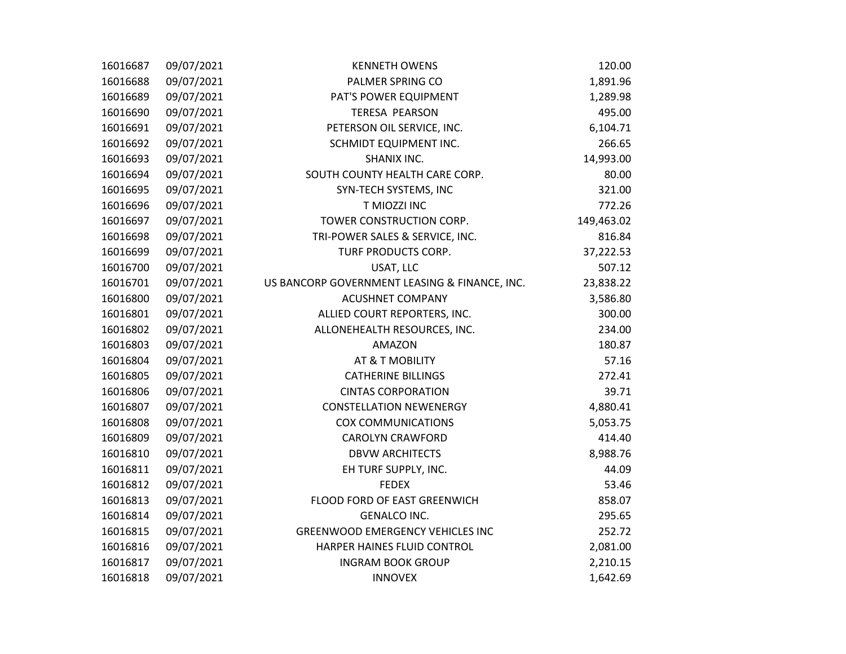| 16016687 | 09/07/2021 | <b>KENNETH OWENS</b>                          | 120.00     |
|----------|------------|-----------------------------------------------|------------|
| 16016688 | 09/07/2021 | PALMER SPRING CO                              | 1,891.96   |
| 16016689 | 09/07/2021 | PAT'S POWER EQUIPMENT                         | 1,289.98   |
| 16016690 | 09/07/2021 | <b>TERESA PEARSON</b>                         | 495.00     |
| 16016691 | 09/07/2021 | PETERSON OIL SERVICE, INC.                    | 6,104.71   |
| 16016692 | 09/07/2021 | SCHMIDT EQUIPMENT INC.                        | 266.65     |
| 16016693 | 09/07/2021 | SHANIX INC.                                   | 14,993.00  |
| 16016694 | 09/07/2021 | SOUTH COUNTY HEALTH CARE CORP.                | 80.00      |
| 16016695 | 09/07/2021 | SYN-TECH SYSTEMS, INC                         | 321.00     |
| 16016696 | 09/07/2021 | T MIOZZI INC                                  | 772.26     |
| 16016697 | 09/07/2021 | TOWER CONSTRUCTION CORP.                      | 149,463.02 |
| 16016698 | 09/07/2021 | TRI-POWER SALES & SERVICE, INC.               | 816.84     |
| 16016699 | 09/07/2021 | TURF PRODUCTS CORP.                           | 37,222.53  |
| 16016700 | 09/07/2021 | USAT, LLC                                     | 507.12     |
| 16016701 | 09/07/2021 | US BANCORP GOVERNMENT LEASING & FINANCE, INC. | 23,838.22  |
| 16016800 | 09/07/2021 | <b>ACUSHNET COMPANY</b>                       | 3,586.80   |
| 16016801 | 09/07/2021 | ALLIED COURT REPORTERS, INC.                  | 300.00     |
| 16016802 | 09/07/2021 | ALLONEHEALTH RESOURCES, INC.                  | 234.00     |
| 16016803 | 09/07/2021 | <b>AMAZON</b>                                 | 180.87     |
| 16016804 | 09/07/2021 | AT & T MOBILITY                               | 57.16      |
| 16016805 | 09/07/2021 | <b>CATHERINE BILLINGS</b>                     | 272.41     |
| 16016806 | 09/07/2021 | <b>CINTAS CORPORATION</b>                     | 39.71      |
| 16016807 | 09/07/2021 | <b>CONSTELLATION NEWENERGY</b>                | 4,880.41   |
| 16016808 | 09/07/2021 | <b>COX COMMUNICATIONS</b>                     | 5,053.75   |
| 16016809 | 09/07/2021 | <b>CAROLYN CRAWFORD</b>                       | 414.40     |
| 16016810 | 09/07/2021 | <b>DBVW ARCHITECTS</b>                        | 8,988.76   |
| 16016811 | 09/07/2021 | EH TURF SUPPLY, INC.                          | 44.09      |
| 16016812 | 09/07/2021 | <b>FEDEX</b>                                  | 53.46      |
| 16016813 | 09/07/2021 | FLOOD FORD OF EAST GREENWICH                  | 858.07     |
| 16016814 | 09/07/2021 | <b>GENALCO INC.</b>                           | 295.65     |
| 16016815 | 09/07/2021 | <b>GREENWOOD EMERGENCY VEHICLES INC</b>       | 252.72     |
| 16016816 | 09/07/2021 | HARPER HAINES FLUID CONTROL                   | 2,081.00   |
| 16016817 | 09/07/2021 | <b>INGRAM BOOK GROUP</b>                      | 2,210.15   |
| 16016818 | 09/07/2021 | <b>INNOVEX</b>                                | 1,642.69   |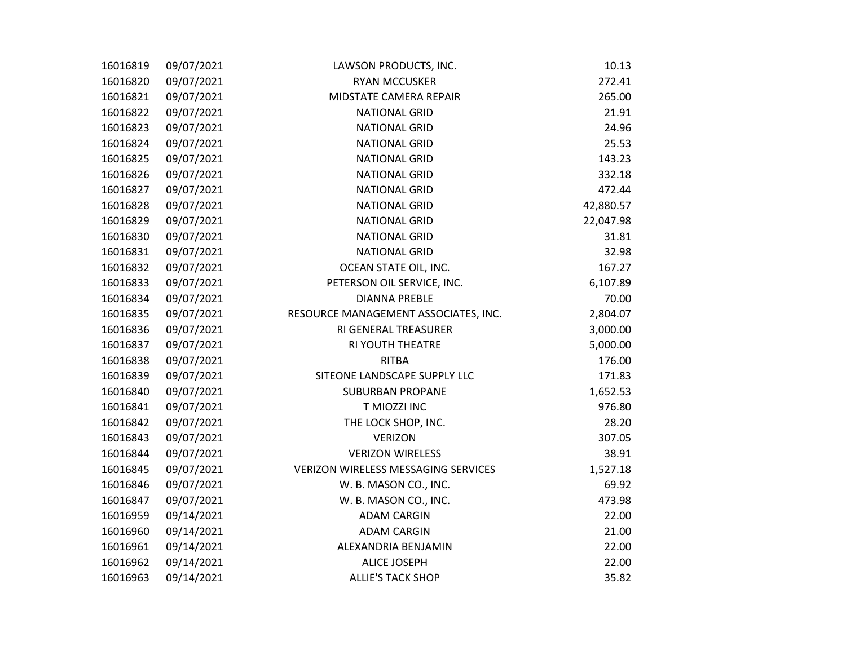| 16016819 | 09/07/2021 | LAWSON PRODUCTS, INC.                | 10.13     |
|----------|------------|--------------------------------------|-----------|
| 16016820 | 09/07/2021 | <b>RYAN MCCUSKER</b>                 | 272.41    |
| 16016821 | 09/07/2021 | MIDSTATE CAMERA REPAIR               | 265.00    |
| 16016822 | 09/07/2021 | <b>NATIONAL GRID</b>                 | 21.91     |
| 16016823 | 09/07/2021 | <b>NATIONAL GRID</b>                 | 24.96     |
| 16016824 | 09/07/2021 | <b>NATIONAL GRID</b>                 | 25.53     |
| 16016825 | 09/07/2021 | <b>NATIONAL GRID</b>                 | 143.23    |
| 16016826 | 09/07/2021 | <b>NATIONAL GRID</b>                 | 332.18    |
| 16016827 | 09/07/2021 | <b>NATIONAL GRID</b>                 | 472.44    |
| 16016828 | 09/07/2021 | <b>NATIONAL GRID</b>                 | 42,880.57 |
| 16016829 | 09/07/2021 | <b>NATIONAL GRID</b>                 | 22,047.98 |
| 16016830 | 09/07/2021 | <b>NATIONAL GRID</b>                 | 31.81     |
| 16016831 | 09/07/2021 | <b>NATIONAL GRID</b>                 | 32.98     |
| 16016832 | 09/07/2021 | OCEAN STATE OIL, INC.                | 167.27    |
| 16016833 | 09/07/2021 | PETERSON OIL SERVICE, INC.           | 6,107.89  |
| 16016834 | 09/07/2021 | <b>DIANNA PREBLE</b>                 | 70.00     |
| 16016835 | 09/07/2021 | RESOURCE MANAGEMENT ASSOCIATES, INC. | 2,804.07  |
| 16016836 | 09/07/2021 | RI GENERAL TREASURER                 | 3,000.00  |
| 16016837 | 09/07/2021 | RI YOUTH THEATRE                     | 5,000.00  |
| 16016838 | 09/07/2021 | <b>RITBA</b>                         | 176.00    |
| 16016839 | 09/07/2021 | SITEONE LANDSCAPE SUPPLY LLC         | 171.83    |
| 16016840 | 09/07/2021 | <b>SUBURBAN PROPANE</b>              | 1,652.53  |
| 16016841 | 09/07/2021 | T MIOZZI INC                         | 976.80    |
| 16016842 | 09/07/2021 | THE LOCK SHOP, INC.                  | 28.20     |
| 16016843 | 09/07/2021 | <b>VERIZON</b>                       | 307.05    |
| 16016844 | 09/07/2021 | <b>VERIZON WIRELESS</b>              | 38.91     |
| 16016845 | 09/07/2021 | VERIZON WIRELESS MESSAGING SERVICES  | 1,527.18  |
| 16016846 | 09/07/2021 | W. B. MASON CO., INC.                | 69.92     |
| 16016847 | 09/07/2021 | W. B. MASON CO., INC.                | 473.98    |
| 16016959 | 09/14/2021 | <b>ADAM CARGIN</b>                   | 22.00     |
| 16016960 | 09/14/2021 | <b>ADAM CARGIN</b>                   | 21.00     |
| 16016961 | 09/14/2021 | ALEXANDRIA BENJAMIN                  | 22.00     |
| 16016962 | 09/14/2021 | <b>ALICE JOSEPH</b>                  | 22.00     |
| 16016963 | 09/14/2021 | <b>ALLIE'S TACK SHOP</b>             | 35.82     |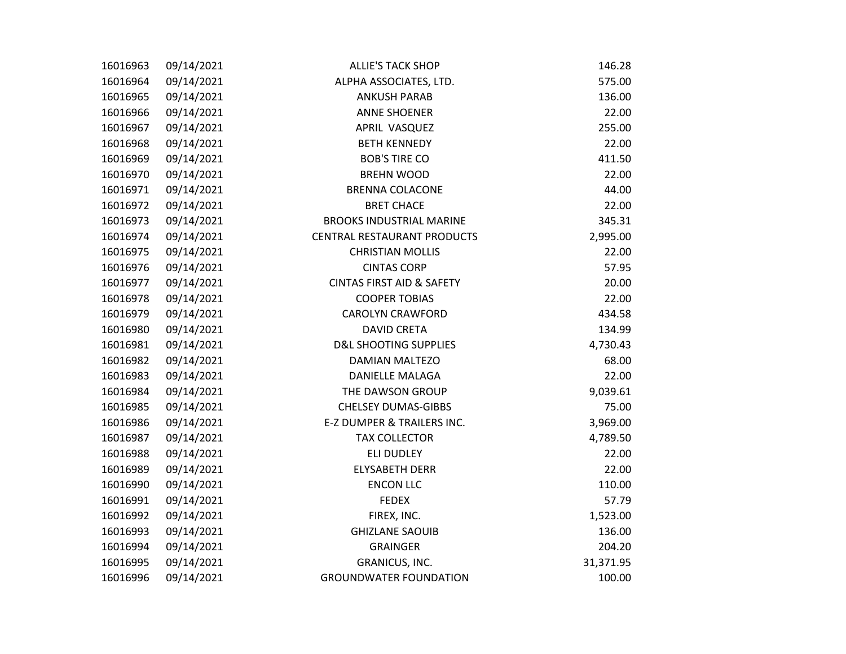| 16016963 | 09/14/2021 | <b>ALLIE'S TACK SHOP</b>             | 146.28    |
|----------|------------|--------------------------------------|-----------|
| 16016964 | 09/14/2021 | ALPHA ASSOCIATES, LTD.               | 575.00    |
| 16016965 | 09/14/2021 | <b>ANKUSH PARAB</b>                  | 136.00    |
| 16016966 | 09/14/2021 | <b>ANNE SHOENER</b>                  | 22.00     |
| 16016967 | 09/14/2021 | APRIL VASQUEZ                        | 255.00    |
| 16016968 | 09/14/2021 | <b>BETH KENNEDY</b>                  | 22.00     |
| 16016969 | 09/14/2021 | <b>BOB'S TIRE CO</b>                 | 411.50    |
| 16016970 | 09/14/2021 | <b>BREHN WOOD</b>                    | 22.00     |
| 16016971 | 09/14/2021 | <b>BRENNA COLACONE</b>               | 44.00     |
| 16016972 | 09/14/2021 | <b>BRET CHACE</b>                    | 22.00     |
| 16016973 | 09/14/2021 | <b>BROOKS INDUSTRIAL MARINE</b>      | 345.31    |
| 16016974 | 09/14/2021 | <b>CENTRAL RESTAURANT PRODUCTS</b>   | 2,995.00  |
| 16016975 | 09/14/2021 | <b>CHRISTIAN MOLLIS</b>              | 22.00     |
| 16016976 | 09/14/2021 | <b>CINTAS CORP</b>                   | 57.95     |
| 16016977 | 09/14/2021 | <b>CINTAS FIRST AID &amp; SAFETY</b> | 20.00     |
| 16016978 | 09/14/2021 | <b>COOPER TOBIAS</b>                 | 22.00     |
| 16016979 | 09/14/2021 | <b>CAROLYN CRAWFORD</b>              | 434.58    |
| 16016980 | 09/14/2021 | <b>DAVID CRETA</b>                   | 134.99    |
| 16016981 | 09/14/2021 | <b>D&amp;L SHOOTING SUPPLIES</b>     | 4,730.43  |
| 16016982 | 09/14/2021 | <b>DAMIAN MALTEZO</b>                | 68.00     |
| 16016983 | 09/14/2021 | <b>DANIELLE MALAGA</b>               | 22.00     |
| 16016984 | 09/14/2021 | THE DAWSON GROUP                     | 9,039.61  |
| 16016985 | 09/14/2021 | <b>CHELSEY DUMAS-GIBBS</b>           | 75.00     |
| 16016986 | 09/14/2021 | E-Z DUMPER & TRAILERS INC.           | 3,969.00  |
| 16016987 | 09/14/2021 | <b>TAX COLLECTOR</b>                 | 4,789.50  |
| 16016988 | 09/14/2021 | <b>ELI DUDLEY</b>                    | 22.00     |
| 16016989 | 09/14/2021 | <b>ELYSABETH DERR</b>                | 22.00     |
| 16016990 | 09/14/2021 | <b>ENCON LLC</b>                     | 110.00    |
| 16016991 | 09/14/2021 | <b>FEDEX</b>                         | 57.79     |
| 16016992 | 09/14/2021 | FIREX, INC.                          | 1,523.00  |
| 16016993 | 09/14/2021 | <b>GHIZLANE SAOUIB</b>               | 136.00    |
| 16016994 | 09/14/2021 | <b>GRAINGER</b>                      | 204.20    |
| 16016995 | 09/14/2021 | GRANICUS, INC.                       | 31,371.95 |
| 16016996 | 09/14/2021 | <b>GROUNDWATER FOUNDATION</b>        | 100.00    |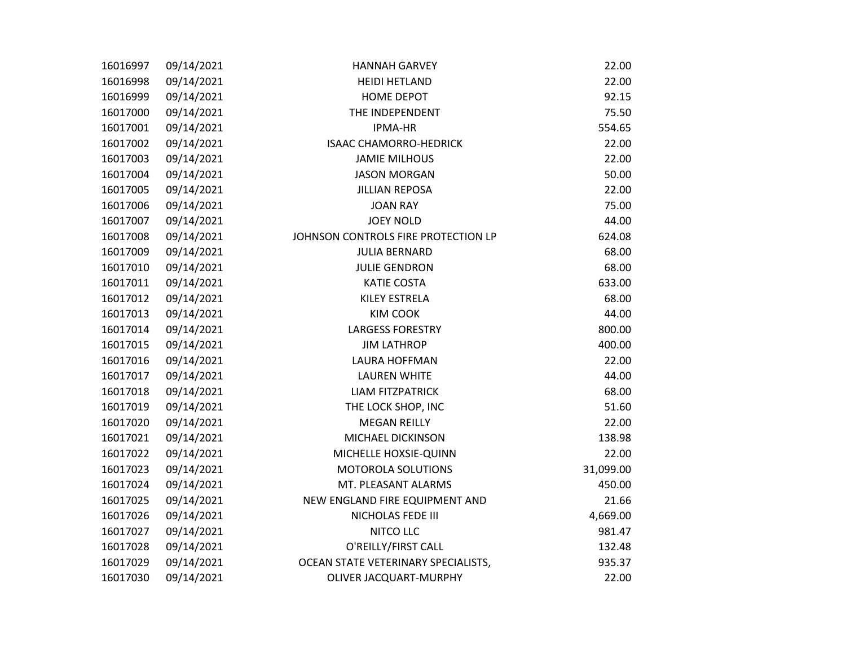| 16016997 | 09/14/2021 | <b>HANNAH GARVEY</b>                | 22.00     |
|----------|------------|-------------------------------------|-----------|
| 16016998 | 09/14/2021 | <b>HEIDI HETLAND</b>                | 22.00     |
| 16016999 | 09/14/2021 | <b>HOME DEPOT</b>                   | 92.15     |
| 16017000 | 09/14/2021 | THE INDEPENDENT                     | 75.50     |
| 16017001 | 09/14/2021 | <b>IPMA-HR</b>                      | 554.65    |
| 16017002 | 09/14/2021 | <b>ISAAC CHAMORRO-HEDRICK</b>       | 22.00     |
| 16017003 | 09/14/2021 | <b>JAMIE MILHOUS</b>                | 22.00     |
| 16017004 | 09/14/2021 | <b>JASON MORGAN</b>                 | 50.00     |
| 16017005 | 09/14/2021 | <b>JILLIAN REPOSA</b>               | 22.00     |
| 16017006 | 09/14/2021 | <b>JOAN RAY</b>                     | 75.00     |
| 16017007 | 09/14/2021 | <b>JOEY NOLD</b>                    | 44.00     |
| 16017008 | 09/14/2021 | JOHNSON CONTROLS FIRE PROTECTION LP | 624.08    |
| 16017009 | 09/14/2021 | <b>JULIA BERNARD</b>                | 68.00     |
| 16017010 | 09/14/2021 | <b>JULIE GENDRON</b>                | 68.00     |
| 16017011 | 09/14/2021 | <b>KATIE COSTA</b>                  | 633.00    |
| 16017012 | 09/14/2021 | KILEY ESTRELA                       | 68.00     |
| 16017013 | 09/14/2021 | <b>KIM COOK</b>                     | 44.00     |
| 16017014 | 09/14/2021 | <b>LARGESS FORESTRY</b>             | 800.00    |
| 16017015 | 09/14/2021 | <b>JIM LATHROP</b>                  | 400.00    |
| 16017016 | 09/14/2021 | LAURA HOFFMAN                       | 22.00     |
| 16017017 | 09/14/2021 | <b>LAUREN WHITE</b>                 | 44.00     |
| 16017018 | 09/14/2021 | <b>LIAM FITZPATRICK</b>             | 68.00     |
| 16017019 | 09/14/2021 | THE LOCK SHOP, INC                  | 51.60     |
| 16017020 | 09/14/2021 | <b>MEGAN REILLY</b>                 | 22.00     |
| 16017021 | 09/14/2021 | MICHAEL DICKINSON                   | 138.98    |
| 16017022 | 09/14/2021 | MICHELLE HOXSIE-QUINN               | 22.00     |
| 16017023 | 09/14/2021 | MOTOROLA SOLUTIONS                  | 31,099.00 |
| 16017024 | 09/14/2021 | MT. PLEASANT ALARMS                 | 450.00    |
| 16017025 | 09/14/2021 | NEW ENGLAND FIRE EQUIPMENT AND      | 21.66     |
| 16017026 | 09/14/2021 | NICHOLAS FEDE III                   | 4,669.00  |
| 16017027 | 09/14/2021 | NITCO LLC                           | 981.47    |
| 16017028 | 09/14/2021 | O'REILLY/FIRST CALL                 | 132.48    |
| 16017029 | 09/14/2021 | OCEAN STATE VETERINARY SPECIALISTS, | 935.37    |
| 16017030 | 09/14/2021 | OLIVER JACQUART-MURPHY              | 22.00     |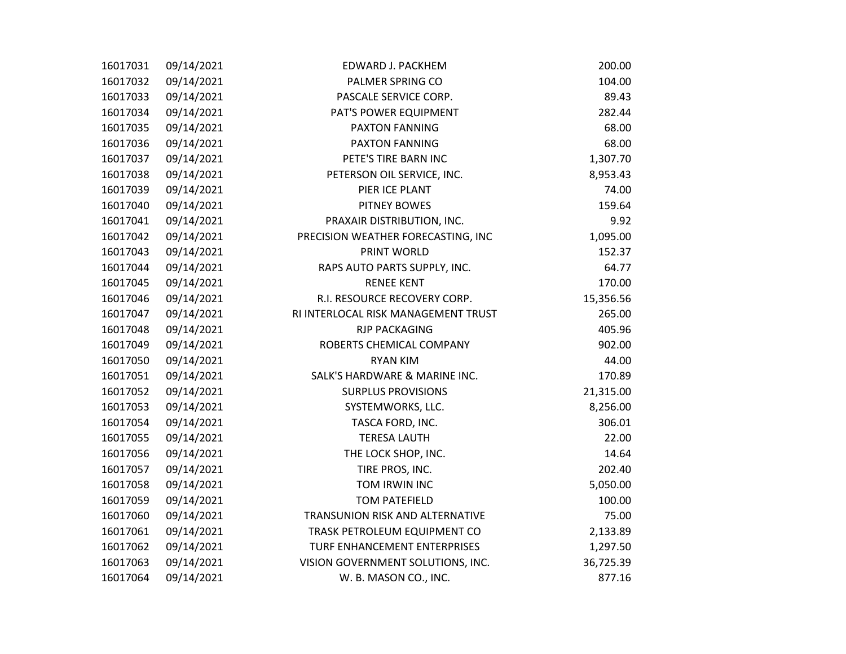| 16017031 | 09/14/2021 | EDWARD J. PACKHEM                   | 200.00    |
|----------|------------|-------------------------------------|-----------|
| 16017032 | 09/14/2021 | PALMER SPRING CO                    | 104.00    |
| 16017033 | 09/14/2021 | PASCALE SERVICE CORP.               | 89.43     |
| 16017034 | 09/14/2021 | PAT'S POWER EQUIPMENT               | 282.44    |
| 16017035 | 09/14/2021 | <b>PAXTON FANNING</b>               | 68.00     |
| 16017036 | 09/14/2021 | <b>PAXTON FANNING</b>               | 68.00     |
| 16017037 | 09/14/2021 | PETE'S TIRE BARN INC                | 1,307.70  |
| 16017038 | 09/14/2021 | PETERSON OIL SERVICE, INC.          | 8,953.43  |
| 16017039 | 09/14/2021 | PIER ICE PLANT                      | 74.00     |
| 16017040 | 09/14/2021 | PITNEY BOWES                        | 159.64    |
| 16017041 | 09/14/2021 | PRAXAIR DISTRIBUTION, INC.          | 9.92      |
| 16017042 | 09/14/2021 | PRECISION WEATHER FORECASTING, INC  | 1,095.00  |
| 16017043 | 09/14/2021 | PRINT WORLD                         | 152.37    |
| 16017044 | 09/14/2021 | RAPS AUTO PARTS SUPPLY, INC.        | 64.77     |
| 16017045 | 09/14/2021 | <b>RENEE KENT</b>                   | 170.00    |
| 16017046 | 09/14/2021 | R.I. RESOURCE RECOVERY CORP.        | 15,356.56 |
| 16017047 | 09/14/2021 | RI INTERLOCAL RISK MANAGEMENT TRUST | 265.00    |
| 16017048 | 09/14/2021 | <b>RJP PACKAGING</b>                | 405.96    |
| 16017049 | 09/14/2021 | ROBERTS CHEMICAL COMPANY            | 902.00    |
| 16017050 | 09/14/2021 | <b>RYAN KIM</b>                     | 44.00     |
| 16017051 | 09/14/2021 | SALK'S HARDWARE & MARINE INC.       | 170.89    |
| 16017052 | 09/14/2021 | <b>SURPLUS PROVISIONS</b>           | 21,315.00 |
| 16017053 | 09/14/2021 | SYSTEMWORKS, LLC.                   | 8,256.00  |
| 16017054 | 09/14/2021 | TASCA FORD, INC.                    | 306.01    |
| 16017055 | 09/14/2021 | <b>TERESA LAUTH</b>                 | 22.00     |
| 16017056 | 09/14/2021 | THE LOCK SHOP, INC.                 | 14.64     |
| 16017057 | 09/14/2021 | TIRE PROS, INC.                     | 202.40    |
| 16017058 | 09/14/2021 | TOM IRWIN INC                       | 5,050.00  |
| 16017059 | 09/14/2021 | <b>TOM PATEFIELD</b>                | 100.00    |
| 16017060 | 09/14/2021 | TRANSUNION RISK AND ALTERNATIVE     | 75.00     |
| 16017061 | 09/14/2021 | TRASK PETROLEUM EQUIPMENT CO        | 2,133.89  |
| 16017062 | 09/14/2021 | TURF ENHANCEMENT ENTERPRISES        | 1,297.50  |
| 16017063 | 09/14/2021 | VISION GOVERNMENT SOLUTIONS, INC.   | 36,725.39 |
| 16017064 | 09/14/2021 | W. B. MASON CO., INC.               | 877.16    |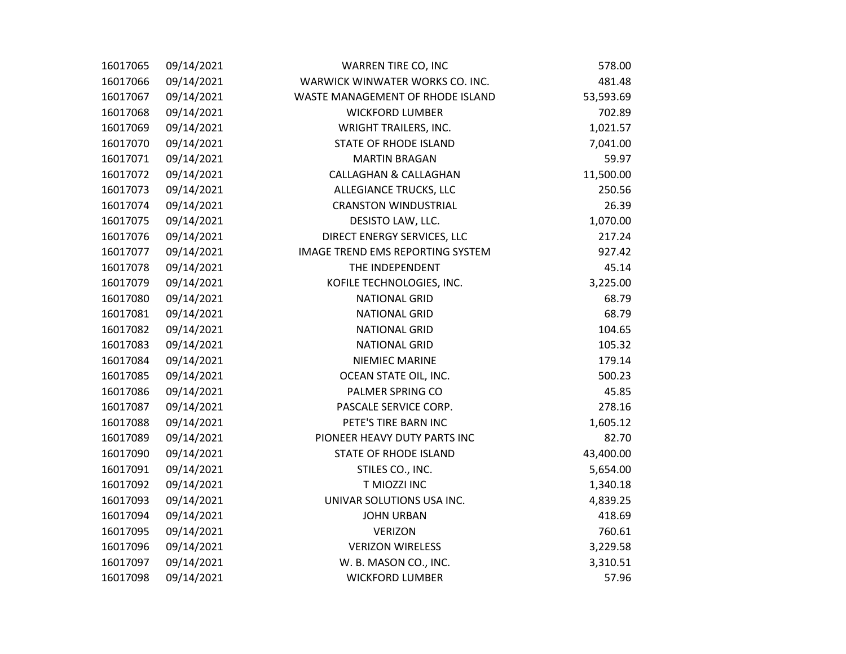| 16017065 | 09/14/2021 | WARREN TIRE CO, INC              | 578.00    |
|----------|------------|----------------------------------|-----------|
| 16017066 | 09/14/2021 | WARWICK WINWATER WORKS CO. INC.  | 481.48    |
| 16017067 | 09/14/2021 | WASTE MANAGEMENT OF RHODE ISLAND | 53,593.69 |
| 16017068 | 09/14/2021 | <b>WICKFORD LUMBER</b>           | 702.89    |
| 16017069 | 09/14/2021 | <b>WRIGHT TRAILERS, INC.</b>     | 1,021.57  |
| 16017070 | 09/14/2021 | <b>STATE OF RHODE ISLAND</b>     | 7,041.00  |
| 16017071 | 09/14/2021 | <b>MARTIN BRAGAN</b>             | 59.97     |
| 16017072 | 09/14/2021 | <b>CALLAGHAN &amp; CALLAGHAN</b> | 11,500.00 |
| 16017073 | 09/14/2021 | <b>ALLEGIANCE TRUCKS, LLC</b>    | 250.56    |
| 16017074 | 09/14/2021 | <b>CRANSTON WINDUSTRIAL</b>      | 26.39     |
| 16017075 | 09/14/2021 | DESISTO LAW, LLC.                | 1,070.00  |
| 16017076 | 09/14/2021 | DIRECT ENERGY SERVICES, LLC      | 217.24    |
| 16017077 | 09/14/2021 | IMAGE TREND EMS REPORTING SYSTEM | 927.42    |
| 16017078 | 09/14/2021 | THE INDEPENDENT                  | 45.14     |
| 16017079 | 09/14/2021 | KOFILE TECHNOLOGIES, INC.        | 3,225.00  |
| 16017080 | 09/14/2021 | <b>NATIONAL GRID</b>             | 68.79     |
| 16017081 | 09/14/2021 | <b>NATIONAL GRID</b>             | 68.79     |
| 16017082 | 09/14/2021 | <b>NATIONAL GRID</b>             | 104.65    |
| 16017083 | 09/14/2021 | <b>NATIONAL GRID</b>             | 105.32    |
| 16017084 | 09/14/2021 | NIEMIEC MARINE                   | 179.14    |
| 16017085 | 09/14/2021 | OCEAN STATE OIL, INC.            | 500.23    |
| 16017086 | 09/14/2021 | PALMER SPRING CO                 | 45.85     |
| 16017087 | 09/14/2021 | PASCALE SERVICE CORP.            | 278.16    |
| 16017088 | 09/14/2021 | PETE'S TIRE BARN INC             | 1,605.12  |
| 16017089 | 09/14/2021 | PIONEER HEAVY DUTY PARTS INC     | 82.70     |
| 16017090 | 09/14/2021 | <b>STATE OF RHODE ISLAND</b>     | 43,400.00 |
| 16017091 | 09/14/2021 | STILES CO., INC.                 | 5,654.00  |
| 16017092 | 09/14/2021 | T MIOZZI INC                     | 1,340.18  |
| 16017093 | 09/14/2021 | UNIVAR SOLUTIONS USA INC.        | 4,839.25  |
| 16017094 | 09/14/2021 | <b>JOHN URBAN</b>                | 418.69    |
| 16017095 | 09/14/2021 | <b>VERIZON</b>                   | 760.61    |
| 16017096 | 09/14/2021 | <b>VERIZON WIRELESS</b>          | 3,229.58  |
| 16017097 | 09/14/2021 | W. B. MASON CO., INC.            | 3,310.51  |
| 16017098 | 09/14/2021 | <b>WICKFORD LUMBER</b>           | 57.96     |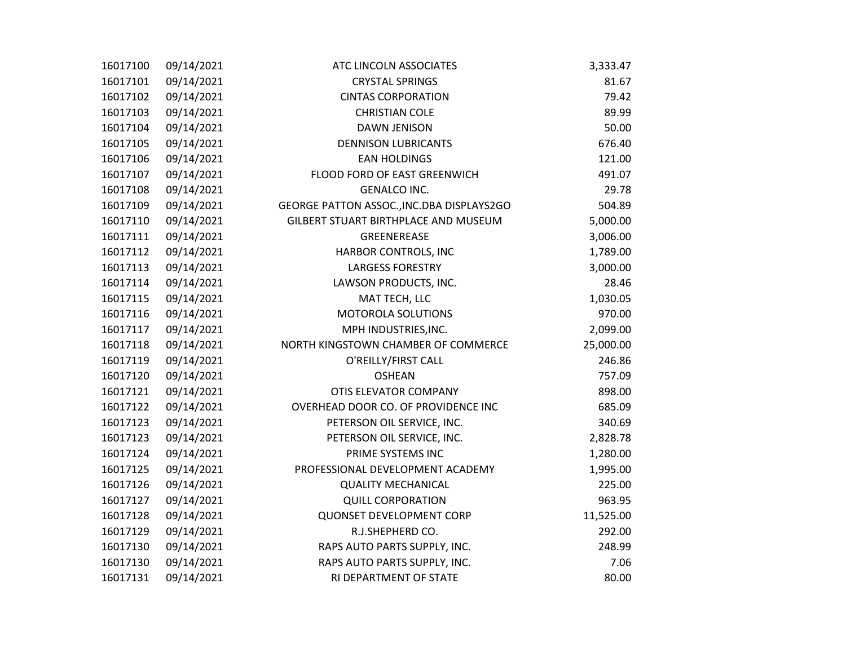| 16017100 | 09/14/2021 | ATC LINCOLN ASSOCIATES                    | 3,333.47  |
|----------|------------|-------------------------------------------|-----------|
| 16017101 | 09/14/2021 | <b>CRYSTAL SPRINGS</b>                    | 81.67     |
| 16017102 | 09/14/2021 | <b>CINTAS CORPORATION</b>                 | 79.42     |
| 16017103 | 09/14/2021 | <b>CHRISTIAN COLE</b>                     | 89.99     |
| 16017104 | 09/14/2021 | <b>DAWN JENISON</b>                       | 50.00     |
| 16017105 | 09/14/2021 | <b>DENNISON LUBRICANTS</b>                | 676.40    |
| 16017106 | 09/14/2021 | <b>EAN HOLDINGS</b>                       | 121.00    |
| 16017107 | 09/14/2021 | FLOOD FORD OF EAST GREENWICH              | 491.07    |
| 16017108 | 09/14/2021 | <b>GENALCO INC.</b>                       | 29.78     |
| 16017109 | 09/14/2021 | GEORGE PATTON ASSOC., INC.DBA DISPLAYS2GO | 504.89    |
| 16017110 | 09/14/2021 | GILBERT STUART BIRTHPLACE AND MUSEUM      | 5,000.00  |
| 16017111 | 09/14/2021 | GREENEREASE                               | 3,006.00  |
| 16017112 | 09/14/2021 | HARBOR CONTROLS, INC                      | 1,789.00  |
| 16017113 | 09/14/2021 | <b>LARGESS FORESTRY</b>                   | 3,000.00  |
| 16017114 | 09/14/2021 | LAWSON PRODUCTS, INC.                     | 28.46     |
| 16017115 | 09/14/2021 | MAT TECH, LLC                             | 1,030.05  |
| 16017116 | 09/14/2021 | MOTOROLA SOLUTIONS                        | 970.00    |
| 16017117 | 09/14/2021 | MPH INDUSTRIES, INC.                      | 2,099.00  |
| 16017118 | 09/14/2021 | NORTH KINGSTOWN CHAMBER OF COMMERCE       | 25,000.00 |
| 16017119 | 09/14/2021 | O'REILLY/FIRST CALL                       | 246.86    |
| 16017120 | 09/14/2021 | <b>OSHEAN</b>                             | 757.09    |
| 16017121 | 09/14/2021 | OTIS ELEVATOR COMPANY                     | 898.00    |
| 16017122 | 09/14/2021 | OVERHEAD DOOR CO. OF PROVIDENCE INC       | 685.09    |
| 16017123 | 09/14/2021 | PETERSON OIL SERVICE, INC.                | 340.69    |
| 16017123 | 09/14/2021 | PETERSON OIL SERVICE, INC.                | 2,828.78  |
| 16017124 | 09/14/2021 | PRIME SYSTEMS INC                         | 1,280.00  |
| 16017125 | 09/14/2021 | PROFESSIONAL DEVELOPMENT ACADEMY          | 1,995.00  |
| 16017126 | 09/14/2021 | <b>QUALITY MECHANICAL</b>                 | 225.00    |
| 16017127 | 09/14/2021 | <b>QUILL CORPORATION</b>                  | 963.95    |
| 16017128 | 09/14/2021 | <b>QUONSET DEVELOPMENT CORP</b>           | 11,525.00 |
| 16017129 | 09/14/2021 | R.J.SHEPHERD CO.                          | 292.00    |
| 16017130 | 09/14/2021 | RAPS AUTO PARTS SUPPLY, INC.              | 248.99    |
| 16017130 | 09/14/2021 | RAPS AUTO PARTS SUPPLY, INC.              | 7.06      |
| 16017131 | 09/14/2021 | RI DEPARTMENT OF STATE                    | 80.00     |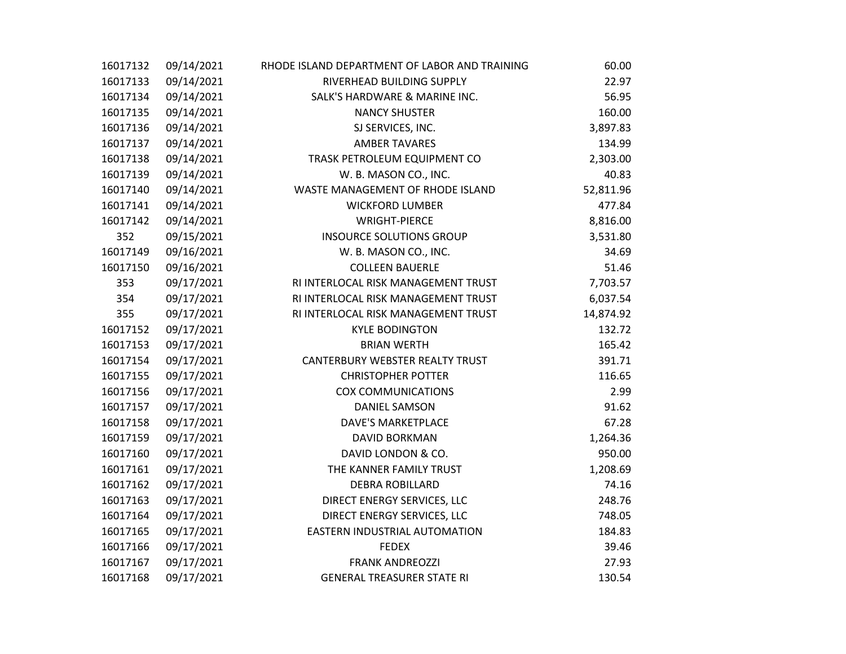| 16017132 | 09/14/2021 | RHODE ISLAND DEPARTMENT OF LABOR AND TRAINING | 60.00     |
|----------|------------|-----------------------------------------------|-----------|
| 16017133 | 09/14/2021 | RIVERHEAD BUILDING SUPPLY                     | 22.97     |
| 16017134 | 09/14/2021 | SALK'S HARDWARE & MARINE INC.                 | 56.95     |
| 16017135 | 09/14/2021 | <b>NANCY SHUSTER</b>                          | 160.00    |
| 16017136 | 09/14/2021 | SJ SERVICES, INC.                             | 3,897.83  |
| 16017137 | 09/14/2021 | <b>AMBER TAVARES</b>                          | 134.99    |
| 16017138 | 09/14/2021 | TRASK PETROLEUM EQUIPMENT CO                  | 2,303.00  |
| 16017139 | 09/14/2021 | W. B. MASON CO., INC.                         | 40.83     |
| 16017140 | 09/14/2021 | WASTE MANAGEMENT OF RHODE ISLAND              | 52,811.96 |
| 16017141 | 09/14/2021 | <b>WICKFORD LUMBER</b>                        | 477.84    |
| 16017142 | 09/14/2021 | <b>WRIGHT-PIERCE</b>                          | 8,816.00  |
| 352      | 09/15/2021 | <b>INSOURCE SOLUTIONS GROUP</b>               | 3,531.80  |
| 16017149 | 09/16/2021 | W. B. MASON CO., INC.                         | 34.69     |
| 16017150 | 09/16/2021 | <b>COLLEEN BAUERLE</b>                        | 51.46     |
| 353      | 09/17/2021 | RI INTERLOCAL RISK MANAGEMENT TRUST           | 7,703.57  |
| 354      | 09/17/2021 | RI INTERLOCAL RISK MANAGEMENT TRUST           | 6,037.54  |
| 355      | 09/17/2021 | RI INTERLOCAL RISK MANAGEMENT TRUST           | 14,874.92 |
| 16017152 | 09/17/2021 | <b>KYLE BODINGTON</b>                         | 132.72    |
| 16017153 | 09/17/2021 | <b>BRIAN WERTH</b>                            | 165.42    |
| 16017154 | 09/17/2021 | CANTERBURY WEBSTER REALTY TRUST               | 391.71    |
| 16017155 | 09/17/2021 | <b>CHRISTOPHER POTTER</b>                     | 116.65    |
| 16017156 | 09/17/2021 | <b>COX COMMUNICATIONS</b>                     | 2.99      |
| 16017157 | 09/17/2021 | <b>DANIEL SAMSON</b>                          | 91.62     |
| 16017158 | 09/17/2021 | <b>DAVE'S MARKETPLACE</b>                     | 67.28     |
| 16017159 | 09/17/2021 | <b>DAVID BORKMAN</b>                          | 1,264.36  |
| 16017160 | 09/17/2021 | DAVID LONDON & CO.                            | 950.00    |
| 16017161 | 09/17/2021 | THE KANNER FAMILY TRUST                       | 1,208.69  |
| 16017162 | 09/17/2021 | <b>DEBRA ROBILLARD</b>                        | 74.16     |
| 16017163 | 09/17/2021 | DIRECT ENERGY SERVICES, LLC                   | 248.76    |
| 16017164 | 09/17/2021 | DIRECT ENERGY SERVICES, LLC                   | 748.05    |
| 16017165 | 09/17/2021 | EASTERN INDUSTRIAL AUTOMATION                 | 184.83    |
| 16017166 | 09/17/2021 | <b>FEDEX</b>                                  | 39.46     |
| 16017167 | 09/17/2021 | <b>FRANK ANDREOZZI</b>                        | 27.93     |
| 16017168 | 09/17/2021 | <b>GENERAL TREASURER STATE RI</b>             | 130.54    |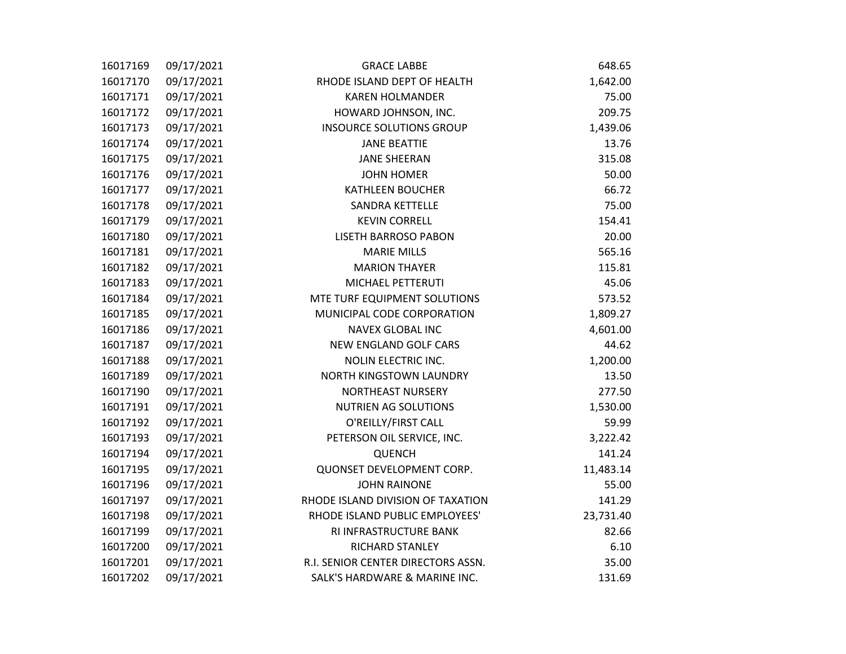| 16017169 | 09/17/2021 | <b>GRACE LABBE</b>                 | 648.65    |
|----------|------------|------------------------------------|-----------|
| 16017170 | 09/17/2021 | RHODE ISLAND DEPT OF HEALTH        | 1,642.00  |
| 16017171 | 09/17/2021 | <b>KAREN HOLMANDER</b>             | 75.00     |
| 16017172 | 09/17/2021 | HOWARD JOHNSON, INC.               | 209.75    |
| 16017173 | 09/17/2021 | <b>INSOURCE SOLUTIONS GROUP</b>    | 1,439.06  |
| 16017174 | 09/17/2021 | <b>JANE BEATTIE</b>                | 13.76     |
| 16017175 | 09/17/2021 | <b>JANE SHEERAN</b>                | 315.08    |
| 16017176 | 09/17/2021 | <b>JOHN HOMER</b>                  | 50.00     |
| 16017177 | 09/17/2021 | <b>KATHLEEN BOUCHER</b>            | 66.72     |
| 16017178 | 09/17/2021 | <b>SANDRA KETTELLE</b>             | 75.00     |
| 16017179 | 09/17/2021 | <b>KEVIN CORRELL</b>               | 154.41    |
| 16017180 | 09/17/2021 | <b>LISETH BARROSO PABON</b>        | 20.00     |
| 16017181 | 09/17/2021 | <b>MARIE MILLS</b>                 | 565.16    |
| 16017182 | 09/17/2021 | <b>MARION THAYER</b>               | 115.81    |
| 16017183 | 09/17/2021 | MICHAEL PETTERUTI                  | 45.06     |
| 16017184 | 09/17/2021 | MTE TURF EQUIPMENT SOLUTIONS       | 573.52    |
| 16017185 | 09/17/2021 | MUNICIPAL CODE CORPORATION         | 1,809.27  |
| 16017186 | 09/17/2021 | <b>NAVEX GLOBAL INC</b>            | 4,601.00  |
| 16017187 | 09/17/2021 | <b>NEW ENGLAND GOLF CARS</b>       | 44.62     |
| 16017188 | 09/17/2021 | NOLIN ELECTRIC INC.                | 1,200.00  |
| 16017189 | 09/17/2021 | NORTH KINGSTOWN LAUNDRY            | 13.50     |
| 16017190 | 09/17/2021 | <b>NORTHEAST NURSERY</b>           | 277.50    |
| 16017191 | 09/17/2021 | NUTRIEN AG SOLUTIONS               | 1,530.00  |
| 16017192 | 09/17/2021 | O'REILLY/FIRST CALL                | 59.99     |
| 16017193 | 09/17/2021 | PETERSON OIL SERVICE, INC.         | 3,222.42  |
| 16017194 | 09/17/2021 | <b>QUENCH</b>                      | 141.24    |
| 16017195 | 09/17/2021 | QUONSET DEVELOPMENT CORP.          | 11,483.14 |
| 16017196 | 09/17/2021 | <b>JOHN RAINONE</b>                | 55.00     |
| 16017197 | 09/17/2021 | RHODE ISLAND DIVISION OF TAXATION  | 141.29    |
| 16017198 | 09/17/2021 | RHODE ISLAND PUBLIC EMPLOYEES'     | 23,731.40 |
| 16017199 | 09/17/2021 | RI INFRASTRUCTURE BANK             | 82.66     |
| 16017200 | 09/17/2021 | RICHARD STANLEY                    | 6.10      |
| 16017201 | 09/17/2021 | R.I. SENIOR CENTER DIRECTORS ASSN. | 35.00     |
| 16017202 | 09/17/2021 | SALK'S HARDWARE & MARINE INC.      | 131.69    |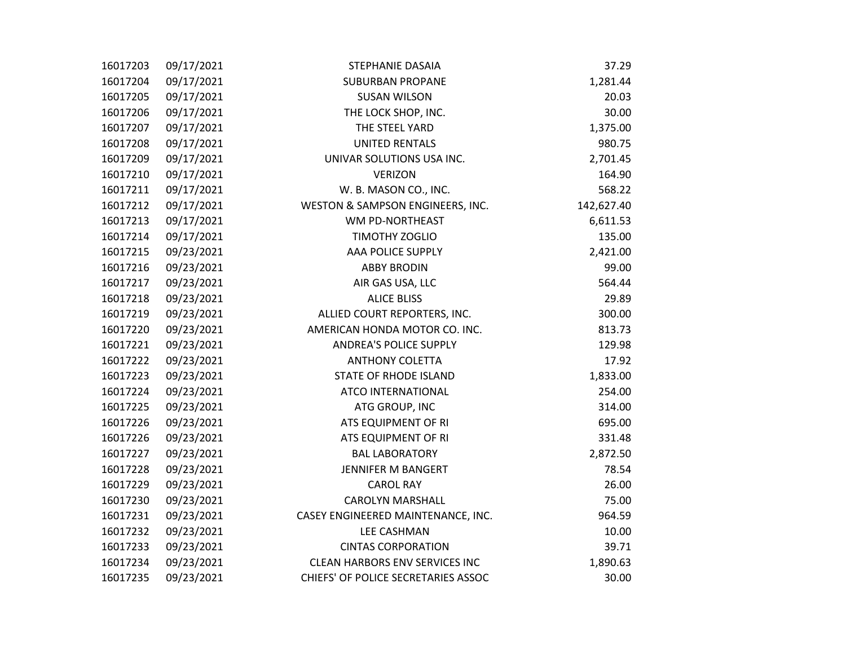| 16017203 | 09/17/2021 | <b>STEPHANIE DASAIA</b>               | 37.29      |
|----------|------------|---------------------------------------|------------|
| 16017204 | 09/17/2021 | <b>SUBURBAN PROPANE</b>               | 1,281.44   |
| 16017205 | 09/17/2021 | <b>SUSAN WILSON</b>                   | 20.03      |
| 16017206 | 09/17/2021 | THE LOCK SHOP, INC.                   | 30.00      |
| 16017207 | 09/17/2021 | THE STEEL YARD                        | 1,375.00   |
| 16017208 | 09/17/2021 | <b>UNITED RENTALS</b>                 | 980.75     |
| 16017209 | 09/17/2021 | UNIVAR SOLUTIONS USA INC.             | 2,701.45   |
| 16017210 | 09/17/2021 | <b>VERIZON</b>                        | 164.90     |
| 16017211 | 09/17/2021 | W. B. MASON CO., INC.                 | 568.22     |
| 16017212 | 09/17/2021 | WESTON & SAMPSON ENGINEERS, INC.      | 142,627.40 |
| 16017213 | 09/17/2021 | WM PD-NORTHEAST                       | 6,611.53   |
| 16017214 | 09/17/2021 | TIMOTHY ZOGLIO                        | 135.00     |
| 16017215 | 09/23/2021 | AAA POLICE SUPPLY                     | 2,421.00   |
| 16017216 | 09/23/2021 | <b>ABBY BRODIN</b>                    | 99.00      |
| 16017217 | 09/23/2021 | AIR GAS USA, LLC                      | 564.44     |
| 16017218 | 09/23/2021 | <b>ALICE BLISS</b>                    | 29.89      |
| 16017219 | 09/23/2021 | ALLIED COURT REPORTERS, INC.          | 300.00     |
| 16017220 | 09/23/2021 | AMERICAN HONDA MOTOR CO. INC.         | 813.73     |
| 16017221 | 09/23/2021 | <b>ANDREA'S POLICE SUPPLY</b>         | 129.98     |
| 16017222 | 09/23/2021 | <b>ANTHONY COLETTA</b>                | 17.92      |
| 16017223 | 09/23/2021 | <b>STATE OF RHODE ISLAND</b>          | 1,833.00   |
| 16017224 | 09/23/2021 | ATCO INTERNATIONAL                    | 254.00     |
| 16017225 | 09/23/2021 | ATG GROUP, INC                        | 314.00     |
| 16017226 | 09/23/2021 | ATS EQUIPMENT OF RI                   | 695.00     |
| 16017226 | 09/23/2021 | ATS EQUIPMENT OF RI                   | 331.48     |
| 16017227 | 09/23/2021 | <b>BAL LABORATORY</b>                 | 2,872.50   |
| 16017228 | 09/23/2021 | JENNIFER M BANGERT                    | 78.54      |
| 16017229 | 09/23/2021 | <b>CAROL RAY</b>                      | 26.00      |
| 16017230 | 09/23/2021 | <b>CAROLYN MARSHALL</b>               | 75.00      |
| 16017231 | 09/23/2021 | CASEY ENGINEERED MAINTENANCE, INC.    | 964.59     |
| 16017232 | 09/23/2021 | LEE CASHMAN                           | 10.00      |
| 16017233 | 09/23/2021 | <b>CINTAS CORPORATION</b>             | 39.71      |
| 16017234 | 09/23/2021 | <b>CLEAN HARBORS ENV SERVICES INC</b> | 1,890.63   |
| 16017235 | 09/23/2021 | CHIEFS' OF POLICE SECRETARIES ASSOC   | 30.00      |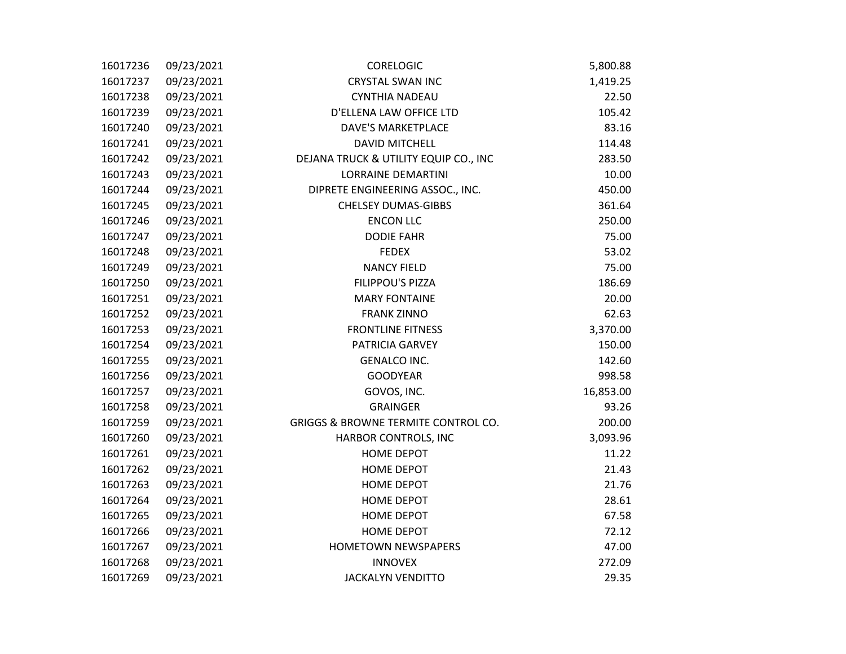| 16017236 | 09/23/2021 | <b>CORELOGIC</b>                               | 5,800.88  |
|----------|------------|------------------------------------------------|-----------|
| 16017237 | 09/23/2021 | <b>CRYSTAL SWAN INC</b>                        | 1,419.25  |
| 16017238 | 09/23/2021 | <b>CYNTHIA NADEAU</b>                          | 22.50     |
| 16017239 | 09/23/2021 | D'ELLENA LAW OFFICE LTD                        | 105.42    |
| 16017240 | 09/23/2021 | DAVE'S MARKETPLACE                             | 83.16     |
| 16017241 | 09/23/2021 | <b>DAVID MITCHELL</b>                          | 114.48    |
| 16017242 | 09/23/2021 | DEJANA TRUCK & UTILITY EQUIP CO., INC          | 283.50    |
| 16017243 | 09/23/2021 | <b>LORRAINE DEMARTINI</b>                      | 10.00     |
| 16017244 | 09/23/2021 | DIPRETE ENGINEERING ASSOC., INC.               | 450.00    |
| 16017245 | 09/23/2021 | <b>CHELSEY DUMAS-GIBBS</b>                     | 361.64    |
| 16017246 | 09/23/2021 | <b>ENCON LLC</b>                               | 250.00    |
| 16017247 | 09/23/2021 | <b>DODIE FAHR</b>                              | 75.00     |
| 16017248 | 09/23/2021 | <b>FEDEX</b>                                   | 53.02     |
| 16017249 | 09/23/2021 | <b>NANCY FIELD</b>                             | 75.00     |
| 16017250 | 09/23/2021 | FILIPPOU'S PIZZA                               | 186.69    |
| 16017251 | 09/23/2021 | <b>MARY FONTAINE</b>                           | 20.00     |
| 16017252 | 09/23/2021 | <b>FRANK ZINNO</b>                             | 62.63     |
| 16017253 | 09/23/2021 | <b>FRONTLINE FITNESS</b>                       | 3,370.00  |
| 16017254 | 09/23/2021 | PATRICIA GARVEY                                | 150.00    |
| 16017255 | 09/23/2021 | <b>GENALCO INC.</b>                            | 142.60    |
| 16017256 | 09/23/2021 | <b>GOODYEAR</b>                                | 998.58    |
| 16017257 | 09/23/2021 | GOVOS, INC.                                    | 16,853.00 |
| 16017258 | 09/23/2021 | <b>GRAINGER</b>                                | 93.26     |
| 16017259 | 09/23/2021 | <b>GRIGGS &amp; BROWNE TERMITE CONTROL CO.</b> | 200.00    |
| 16017260 | 09/23/2021 | HARBOR CONTROLS, INC                           | 3,093.96  |
| 16017261 | 09/23/2021 | <b>HOME DEPOT</b>                              | 11.22     |
| 16017262 | 09/23/2021 | <b>HOME DEPOT</b>                              | 21.43     |
| 16017263 | 09/23/2021 | <b>HOME DEPOT</b>                              | 21.76     |
| 16017264 | 09/23/2021 | <b>HOME DEPOT</b>                              | 28.61     |
| 16017265 | 09/23/2021 | <b>HOME DEPOT</b>                              | 67.58     |
| 16017266 | 09/23/2021 | <b>HOME DEPOT</b>                              | 72.12     |
| 16017267 | 09/23/2021 | <b>HOMETOWN NEWSPAPERS</b>                     | 47.00     |
| 16017268 | 09/23/2021 | <b>INNOVEX</b>                                 | 272.09    |
| 16017269 | 09/23/2021 | <b>JACKALYN VENDITTO</b>                       | 29.35     |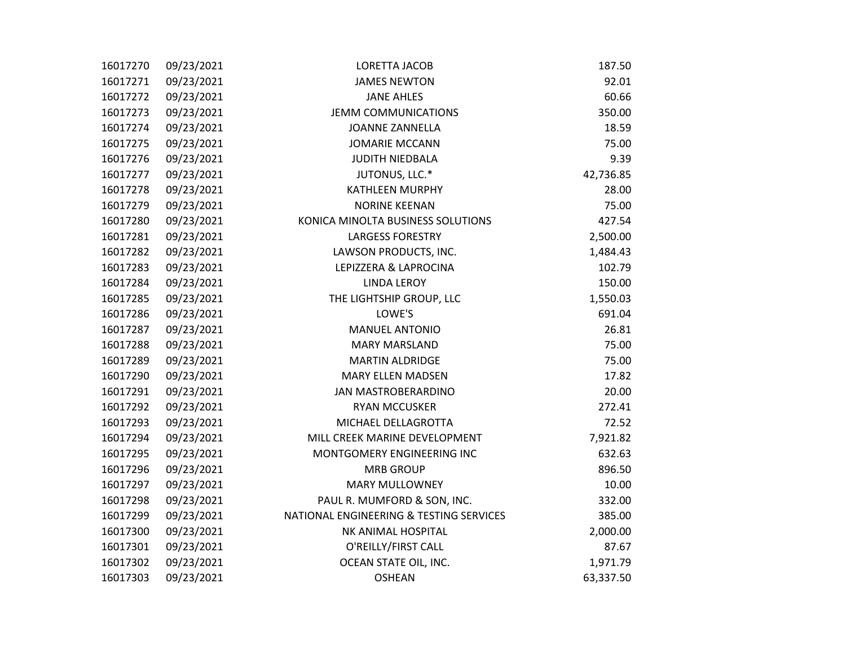| 16017270 | 09/23/2021 | <b>LORETTA JACOB</b>                    | 187.50    |
|----------|------------|-----------------------------------------|-----------|
| 16017271 | 09/23/2021 | <b>JAMES NEWTON</b>                     | 92.01     |
| 16017272 | 09/23/2021 | <b>JANE AHLES</b>                       | 60.66     |
| 16017273 | 09/23/2021 | <b>JEMM COMMUNICATIONS</b>              | 350.00    |
| 16017274 | 09/23/2021 | <b>JOANNE ZANNELLA</b>                  | 18.59     |
| 16017275 | 09/23/2021 | <b>JOMARIE MCCANN</b>                   | 75.00     |
| 16017276 | 09/23/2021 | <b>JUDITH NIEDBALA</b>                  | 9.39      |
| 16017277 | 09/23/2021 | JUTONUS, LLC.*                          | 42,736.85 |
| 16017278 | 09/23/2021 | KATHLEEN MURPHY                         | 28.00     |
| 16017279 | 09/23/2021 | <b>NORINE KEENAN</b>                    | 75.00     |
| 16017280 | 09/23/2021 | KONICA MINOLTA BUSINESS SOLUTIONS       | 427.54    |
| 16017281 | 09/23/2021 | <b>LARGESS FORESTRY</b>                 | 2,500.00  |
| 16017282 | 09/23/2021 | LAWSON PRODUCTS, INC.                   | 1,484.43  |
| 16017283 | 09/23/2021 | LEPIZZERA & LAPROCINA                   | 102.79    |
| 16017284 | 09/23/2021 | <b>LINDA LEROY</b>                      | 150.00    |
| 16017285 | 09/23/2021 | THE LIGHTSHIP GROUP, LLC                | 1,550.03  |
| 16017286 | 09/23/2021 | LOWE'S                                  | 691.04    |
| 16017287 | 09/23/2021 | <b>MANUEL ANTONIO</b>                   | 26.81     |
| 16017288 | 09/23/2021 | <b>MARY MARSLAND</b>                    | 75.00     |
| 16017289 | 09/23/2021 | <b>MARTIN ALDRIDGE</b>                  | 75.00     |
| 16017290 | 09/23/2021 | <b>MARY ELLEN MADSEN</b>                | 17.82     |
| 16017291 | 09/23/2021 | <b>JAN MASTROBERARDINO</b>              | 20.00     |
| 16017292 | 09/23/2021 | <b>RYAN MCCUSKER</b>                    | 272.41    |
| 16017293 | 09/23/2021 | MICHAEL DELLAGROTTA                     | 72.52     |
| 16017294 | 09/23/2021 | MILL CREEK MARINE DEVELOPMENT           | 7,921.82  |
| 16017295 | 09/23/2021 | MONTGOMERY ENGINEERING INC              | 632.63    |
| 16017296 | 09/23/2021 | <b>MRB GROUP</b>                        | 896.50    |
| 16017297 | 09/23/2021 | <b>MARY MULLOWNEY</b>                   | 10.00     |
| 16017298 | 09/23/2021 | PAUL R. MUMFORD & SON, INC.             | 332.00    |
| 16017299 | 09/23/2021 | NATIONAL ENGINEERING & TESTING SERVICES | 385.00    |
| 16017300 | 09/23/2021 | NK ANIMAL HOSPITAL                      | 2,000.00  |
| 16017301 | 09/23/2021 | O'REILLY/FIRST CALL                     | 87.67     |
| 16017302 | 09/23/2021 | OCEAN STATE OIL, INC.                   | 1,971.79  |
| 16017303 | 09/23/2021 | <b>OSHEAN</b>                           | 63,337.50 |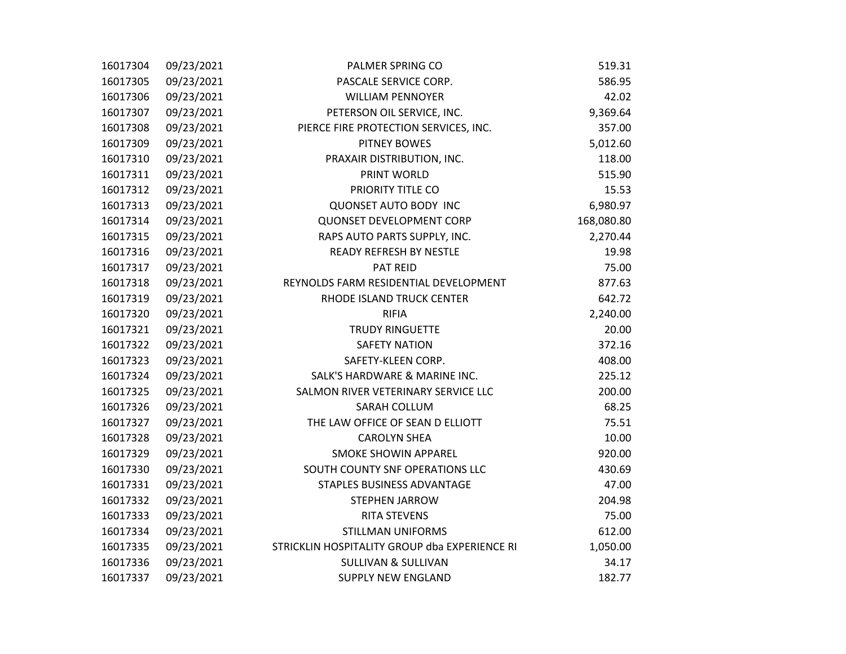| 16017304 | 09/23/2021 | PALMER SPRING CO                              | 519.31     |
|----------|------------|-----------------------------------------------|------------|
| 16017305 | 09/23/2021 | PASCALE SERVICE CORP.                         | 586.95     |
| 16017306 | 09/23/2021 | <b>WILLIAM PENNOYER</b>                       | 42.02      |
| 16017307 | 09/23/2021 | PETERSON OIL SERVICE, INC.                    | 9,369.64   |
| 16017308 | 09/23/2021 | PIERCE FIRE PROTECTION SERVICES, INC.         | 357.00     |
| 16017309 | 09/23/2021 | <b>PITNEY BOWES</b>                           | 5,012.60   |
| 16017310 | 09/23/2021 | PRAXAIR DISTRIBUTION, INC.                    | 118.00     |
| 16017311 | 09/23/2021 | PRINT WORLD                                   | 515.90     |
| 16017312 | 09/23/2021 | PRIORITY TITLE CO                             | 15.53      |
| 16017313 | 09/23/2021 | <b>QUONSET AUTO BODY INC</b>                  | 6,980.97   |
| 16017314 | 09/23/2021 | <b>QUONSET DEVELOPMENT CORP</b>               | 168,080.80 |
| 16017315 | 09/23/2021 | RAPS AUTO PARTS SUPPLY, INC.                  | 2,270.44   |
| 16017316 | 09/23/2021 | <b>READY REFRESH BY NESTLE</b>                | 19.98      |
| 16017317 | 09/23/2021 | PAT REID                                      | 75.00      |
| 16017318 | 09/23/2021 | REYNOLDS FARM RESIDENTIAL DEVELOPMENT         | 877.63     |
| 16017319 | 09/23/2021 | RHODE ISLAND TRUCK CENTER                     | 642.72     |
| 16017320 | 09/23/2021 | <b>RIFIA</b>                                  | 2,240.00   |
| 16017321 | 09/23/2021 | <b>TRUDY RINGUETTE</b>                        | 20.00      |
| 16017322 | 09/23/2021 | <b>SAFETY NATION</b>                          | 372.16     |
| 16017323 | 09/23/2021 | SAFETY-KLEEN CORP.                            | 408.00     |
| 16017324 | 09/23/2021 | SALK'S HARDWARE & MARINE INC.                 | 225.12     |
| 16017325 | 09/23/2021 | SALMON RIVER VETERINARY SERVICE LLC           | 200.00     |
| 16017326 | 09/23/2021 | SARAH COLLUM                                  | 68.25      |
| 16017327 | 09/23/2021 | THE LAW OFFICE OF SEAN D ELLIOTT              | 75.51      |
| 16017328 | 09/23/2021 | <b>CAROLYN SHEA</b>                           | 10.00      |
| 16017329 | 09/23/2021 | <b>SMOKE SHOWIN APPAREL</b>                   | 920.00     |
| 16017330 | 09/23/2021 | SOUTH COUNTY SNF OPERATIONS LLC               | 430.69     |
| 16017331 | 09/23/2021 | STAPLES BUSINESS ADVANTAGE                    | 47.00      |
| 16017332 | 09/23/2021 | <b>STEPHEN JARROW</b>                         | 204.98     |
| 16017333 | 09/23/2021 | <b>RITA STEVENS</b>                           | 75.00      |
| 16017334 | 09/23/2021 | <b>STILLMAN UNIFORMS</b>                      | 612.00     |
| 16017335 | 09/23/2021 | STRICKLIN HOSPITALITY GROUP dba EXPERIENCE RI | 1,050.00   |
| 16017336 | 09/23/2021 | <b>SULLIVAN &amp; SULLIVAN</b>                | 34.17      |
| 16017337 | 09/23/2021 | <b>SUPPLY NEW ENGLAND</b>                     | 182.77     |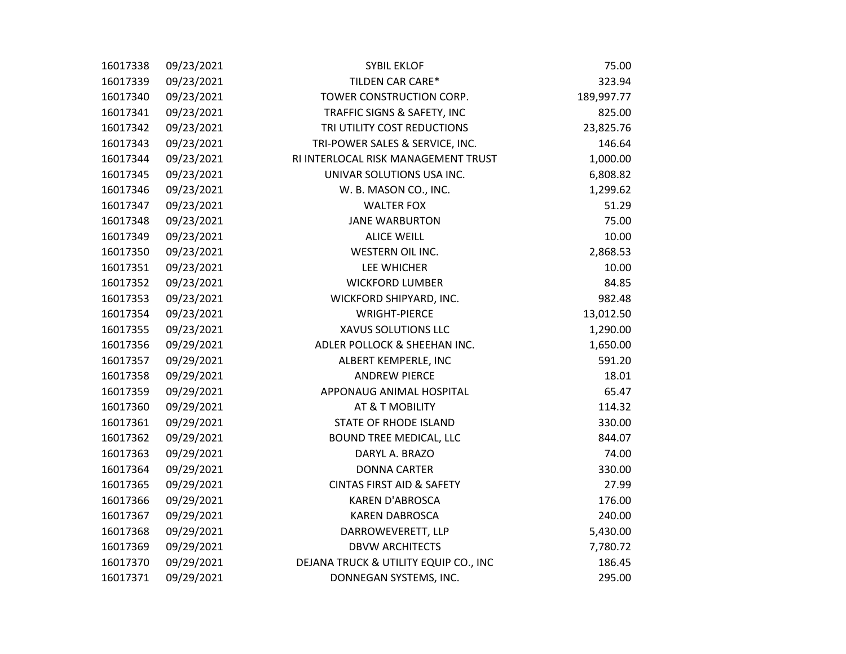| 16017338 | 09/23/2021 | <b>SYBIL EKLOF</b>                    | 75.00      |
|----------|------------|---------------------------------------|------------|
| 16017339 | 09/23/2021 | TILDEN CAR CARE*                      | 323.94     |
| 16017340 | 09/23/2021 | TOWER CONSTRUCTION CORP.              | 189,997.77 |
| 16017341 | 09/23/2021 | TRAFFIC SIGNS & SAFETY, INC           | 825.00     |
| 16017342 | 09/23/2021 | TRI UTILITY COST REDUCTIONS           | 23,825.76  |
| 16017343 | 09/23/2021 | TRI-POWER SALES & SERVICE, INC.       | 146.64     |
| 16017344 | 09/23/2021 | RI INTERLOCAL RISK MANAGEMENT TRUST   | 1,000.00   |
| 16017345 | 09/23/2021 | UNIVAR SOLUTIONS USA INC.             | 6,808.82   |
| 16017346 | 09/23/2021 | W. B. MASON CO., INC.                 | 1,299.62   |
| 16017347 | 09/23/2021 | <b>WALTER FOX</b>                     | 51.29      |
| 16017348 | 09/23/2021 | <b>JANE WARBURTON</b>                 | 75.00      |
| 16017349 | 09/23/2021 | <b>ALICE WEILL</b>                    | 10.00      |
| 16017350 | 09/23/2021 | WESTERN OIL INC.                      | 2,868.53   |
| 16017351 | 09/23/2021 | LEE WHICHER                           | 10.00      |
| 16017352 | 09/23/2021 | <b>WICKFORD LUMBER</b>                | 84.85      |
| 16017353 | 09/23/2021 | WICKFORD SHIPYARD, INC.               | 982.48     |
| 16017354 | 09/23/2021 | <b>WRIGHT-PIERCE</b>                  | 13,012.50  |
| 16017355 | 09/23/2021 | XAVUS SOLUTIONS LLC                   | 1,290.00   |
| 16017356 | 09/29/2021 | ADLER POLLOCK & SHEEHAN INC.          | 1,650.00   |
| 16017357 | 09/29/2021 | ALBERT KEMPERLE, INC                  | 591.20     |
| 16017358 | 09/29/2021 | <b>ANDREW PIERCE</b>                  | 18.01      |
| 16017359 | 09/29/2021 | APPONAUG ANIMAL HOSPITAL              | 65.47      |
| 16017360 | 09/29/2021 | AT & T MOBILITY                       | 114.32     |
| 16017361 | 09/29/2021 | <b>STATE OF RHODE ISLAND</b>          | 330.00     |
| 16017362 | 09/29/2021 | BOUND TREE MEDICAL, LLC               | 844.07     |
| 16017363 | 09/29/2021 | DARYL A. BRAZO                        | 74.00      |
| 16017364 | 09/29/2021 | <b>DONNA CARTER</b>                   | 330.00     |
| 16017365 | 09/29/2021 | <b>CINTAS FIRST AID &amp; SAFETY</b>  | 27.99      |
| 16017366 | 09/29/2021 | <b>KAREN D'ABROSCA</b>                | 176.00     |
| 16017367 | 09/29/2021 | <b>KAREN DABROSCA</b>                 | 240.00     |
| 16017368 | 09/29/2021 | DARROWEVERETT, LLP                    | 5,430.00   |
| 16017369 | 09/29/2021 | <b>DBVW ARCHITECTS</b>                | 7,780.72   |
| 16017370 | 09/29/2021 | DEJANA TRUCK & UTILITY EQUIP CO., INC | 186.45     |
| 16017371 | 09/29/2021 | DONNEGAN SYSTEMS, INC.                | 295.00     |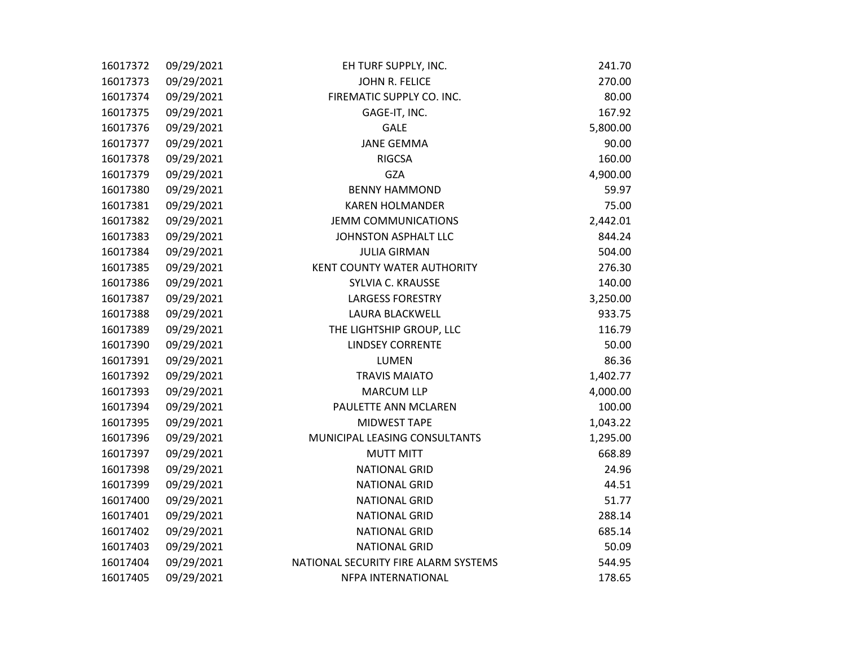| 16017372 | 09/29/2021 | EH TURF SUPPLY, INC.                 | 241.70   |
|----------|------------|--------------------------------------|----------|
| 16017373 | 09/29/2021 | JOHN R. FELICE                       | 270.00   |
| 16017374 | 09/29/2021 | FIREMATIC SUPPLY CO. INC.            | 80.00    |
| 16017375 | 09/29/2021 | GAGE-IT, INC.                        | 167.92   |
| 16017376 | 09/29/2021 | GALE                                 | 5,800.00 |
| 16017377 | 09/29/2021 | <b>JANE GEMMA</b>                    | 90.00    |
| 16017378 | 09/29/2021 | <b>RIGCSA</b>                        | 160.00   |
| 16017379 | 09/29/2021 | GZA                                  | 4,900.00 |
| 16017380 | 09/29/2021 | <b>BENNY HAMMOND</b>                 | 59.97    |
| 16017381 | 09/29/2021 | <b>KAREN HOLMANDER</b>               | 75.00    |
| 16017382 | 09/29/2021 | <b>JEMM COMMUNICATIONS</b>           | 2,442.01 |
| 16017383 | 09/29/2021 | JOHNSTON ASPHALT LLC                 | 844.24   |
| 16017384 | 09/29/2021 | <b>JULIA GIRMAN</b>                  | 504.00   |
| 16017385 | 09/29/2021 | <b>KENT COUNTY WATER AUTHORITY</b>   | 276.30   |
| 16017386 | 09/29/2021 | SYLVIA C. KRAUSSE                    | 140.00   |
| 16017387 | 09/29/2021 | <b>LARGESS FORESTRY</b>              | 3,250.00 |
| 16017388 | 09/29/2021 | LAURA BLACKWELL                      | 933.75   |
| 16017389 | 09/29/2021 | THE LIGHTSHIP GROUP, LLC             | 116.79   |
| 16017390 | 09/29/2021 | <b>LINDSEY CORRENTE</b>              | 50.00    |
| 16017391 | 09/29/2021 | LUMEN                                | 86.36    |
| 16017392 | 09/29/2021 | <b>TRAVIS MAIATO</b>                 | 1,402.77 |
| 16017393 | 09/29/2021 | <b>MARCUM LLP</b>                    | 4,000.00 |
| 16017394 | 09/29/2021 | PAULETTE ANN MCLAREN                 | 100.00   |
| 16017395 | 09/29/2021 | MIDWEST TAPE                         | 1,043.22 |
| 16017396 | 09/29/2021 | MUNICIPAL LEASING CONSULTANTS        | 1,295.00 |
| 16017397 | 09/29/2021 | <b>MUTT MITT</b>                     | 668.89   |
| 16017398 | 09/29/2021 | <b>NATIONAL GRID</b>                 | 24.96    |
| 16017399 | 09/29/2021 | <b>NATIONAL GRID</b>                 | 44.51    |
| 16017400 | 09/29/2021 | <b>NATIONAL GRID</b>                 | 51.77    |
| 16017401 | 09/29/2021 | <b>NATIONAL GRID</b>                 | 288.14   |
| 16017402 | 09/29/2021 | <b>NATIONAL GRID</b>                 | 685.14   |
| 16017403 | 09/29/2021 | <b>NATIONAL GRID</b>                 | 50.09    |
| 16017404 | 09/29/2021 | NATIONAL SECURITY FIRE ALARM SYSTEMS | 544.95   |
| 16017405 | 09/29/2021 | NFPA INTERNATIONAL                   | 178.65   |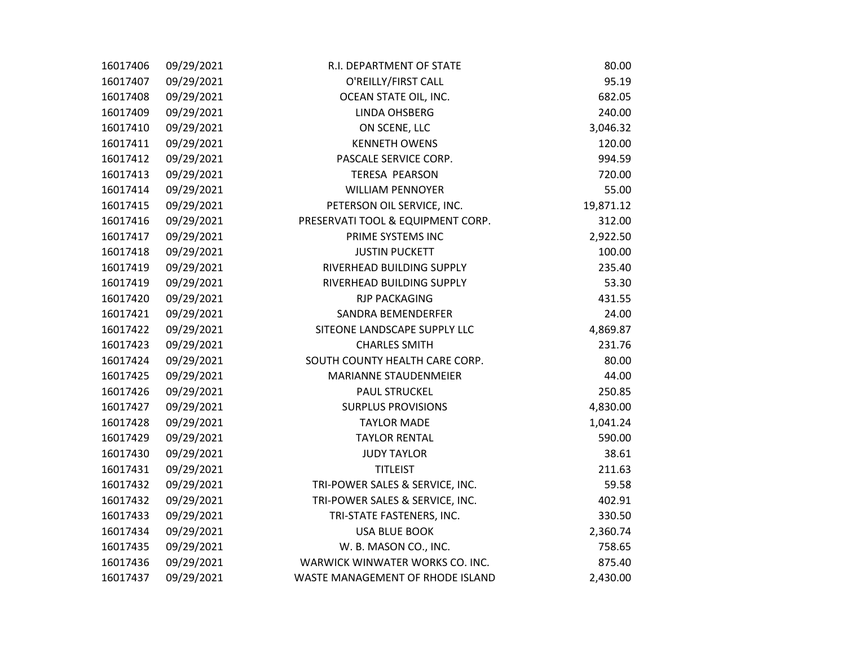| 16017406 | 09/29/2021 | R.I. DEPARTMENT OF STATE          | 80.00     |
|----------|------------|-----------------------------------|-----------|
| 16017407 | 09/29/2021 | O'REILLY/FIRST CALL               | 95.19     |
| 16017408 | 09/29/2021 | OCEAN STATE OIL, INC.             | 682.05    |
| 16017409 | 09/29/2021 | LINDA OHSBERG                     | 240.00    |
| 16017410 | 09/29/2021 | ON SCENE, LLC                     | 3,046.32  |
| 16017411 | 09/29/2021 | <b>KENNETH OWENS</b>              | 120.00    |
| 16017412 | 09/29/2021 | PASCALE SERVICE CORP.             | 994.59    |
| 16017413 | 09/29/2021 | <b>TERESA PEARSON</b>             | 720.00    |
| 16017414 | 09/29/2021 | <b>WILLIAM PENNOYER</b>           | 55.00     |
| 16017415 | 09/29/2021 | PETERSON OIL SERVICE, INC.        | 19,871.12 |
| 16017416 | 09/29/2021 | PRESERVATI TOOL & EQUIPMENT CORP. | 312.00    |
| 16017417 | 09/29/2021 | PRIME SYSTEMS INC                 | 2,922.50  |
| 16017418 | 09/29/2021 | <b>JUSTIN PUCKETT</b>             | 100.00    |
| 16017419 | 09/29/2021 | RIVERHEAD BUILDING SUPPLY         | 235.40    |
| 16017419 | 09/29/2021 | RIVERHEAD BUILDING SUPPLY         | 53.30     |
| 16017420 | 09/29/2021 | <b>RJP PACKAGING</b>              | 431.55    |
| 16017421 | 09/29/2021 | SANDRA BEMENDERFER                | 24.00     |
| 16017422 | 09/29/2021 | SITEONE LANDSCAPE SUPPLY LLC      | 4,869.87  |
| 16017423 | 09/29/2021 | <b>CHARLES SMITH</b>              | 231.76    |
| 16017424 | 09/29/2021 | SOUTH COUNTY HEALTH CARE CORP.    | 80.00     |
| 16017425 | 09/29/2021 | MARIANNE STAUDENMEIER             | 44.00     |
| 16017426 | 09/29/2021 | <b>PAUL STRUCKEL</b>              | 250.85    |
| 16017427 | 09/29/2021 | <b>SURPLUS PROVISIONS</b>         | 4,830.00  |
| 16017428 | 09/29/2021 | <b>TAYLOR MADE</b>                | 1,041.24  |
| 16017429 | 09/29/2021 | <b>TAYLOR RENTAL</b>              | 590.00    |
| 16017430 | 09/29/2021 | <b>JUDY TAYLOR</b>                | 38.61     |
| 16017431 | 09/29/2021 | <b>TITLEIST</b>                   | 211.63    |
| 16017432 | 09/29/2021 | TRI-POWER SALES & SERVICE, INC.   | 59.58     |
| 16017432 | 09/29/2021 | TRI-POWER SALES & SERVICE, INC.   | 402.91    |
| 16017433 | 09/29/2021 | TRI-STATE FASTENERS, INC.         | 330.50    |
| 16017434 | 09/29/2021 | <b>USA BLUE BOOK</b>              | 2,360.74  |
| 16017435 | 09/29/2021 | W. B. MASON CO., INC.             | 758.65    |
| 16017436 | 09/29/2021 | WARWICK WINWATER WORKS CO. INC.   | 875.40    |
| 16017437 | 09/29/2021 | WASTE MANAGEMENT OF RHODE ISLAND  | 2,430.00  |